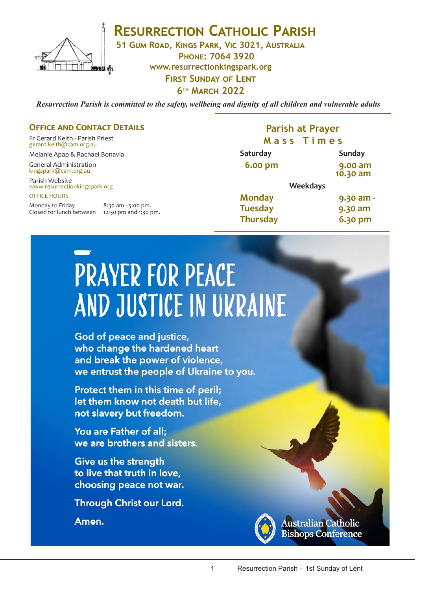

**RESURRECTION CATHOLIC PARISH** 

**51 Gum Road, Kings Park, Vic 3021, Australia**

**Phone: 7064 3920 www.resurrectionkingspark.org First Sunday of Lent 6th March 2022**

*Resurrection Parish is committed to the safety, wellbeing and dignity of all children and vulnerable adults*

### **OFFICE AND CONTACT DETAILS**

Fr Gerard Keith - Parish Priest gerard.keith@cam.org.au

Melanie Apap & Rachael Bonavia

General Administration kingspark@cam.org.au

Parish Website www.resurrectionkingspark.org OFFICE HOURS

Monday to Friday 8:30 am - 5:00 pm. Closed for lunch between 12:30 pm and 1:30 pm.

## **Parish at Prayer M a s s T i m e s**

| Saturday        |                 | <b>Sunday</b>       |
|-----------------|-----------------|---------------------|
| 6.00 pm         |                 | 9.00 am<br>10.30 am |
|                 | <b>Weekdays</b> |                     |
| <b>Monday</b>   |                 | 9.30 am -           |
| <b>Tuesday</b>  |                 | 9.30 am             |
| <b>Thursday</b> |                 | 6.30 pm             |

# **PRAYER FOR PEACE** AND JUSTICE IN UKRAINE

God of peace and justice, who change the hardened heart and break the power of violence, we entrust the people of Ukraine to you.

Protect them in this time of peril; let them know not death but life, not slavery but freedom.

You are Father of all; we are brothers and sisters.

**Give us the strength** to live that truth in love, choosing peace not war.

Through Christ our Lord.

Amen.



**Australian Catholic Bishops Conference**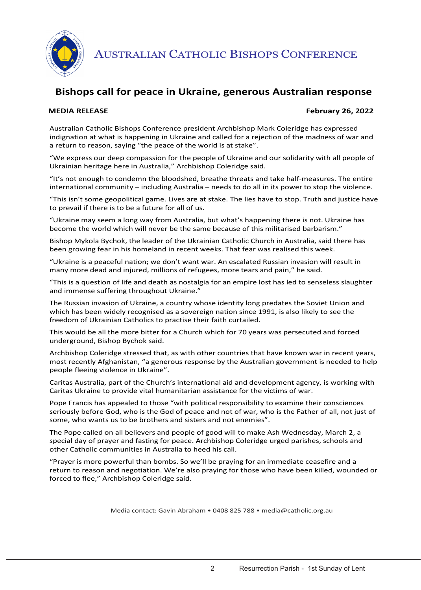

AUSTRALIAN CATHOLIC BISHOPS CONFERENCE

# **Bishops call for peace in Ukraine, generous Australian response**

#### **MEDIA RELEASE February 26, 2022**

Australian Catholic Bishops Conference president Archbishop Mark Coleridge has expressed indignation at what is happening in Ukraine and called for a rejection of the madness of war and a return to reason, saying "the peace of the world is at stake".

"We express our deep compassion for the people of Ukraine and our solidarity with all people of Ukrainian heritage here in Australia," Archbishop Coleridge said.

"It's not enough to condemn the bloodshed, breathe threats and take half-measures. The entire international community – including Australia – needs to do all in its power to stop the violence.

"This isn't some geopolitical game. Lives are at stake. The lies have to stop. Truth and justice have to prevail if there is to be a future for all of us.

"Ukraine may seem a long way from Australia, but what's happening there is not. Ukraine has become the world which will never be the same because of this militarised barbarism."

Bishop Mykola Bychok, the leader of the Ukrainian Catholic Church in Australia, said there has been growing fear in his homeland in recent weeks. That fear was realised this week.

"Ukraine is a peaceful nation; we don't want war. An escalated Russian invasion will result in many more dead and injured, millions of refugees, more tears and pain," he said.

"This is a question of life and death as nostalgia for an empire lost has led to senseless slaughter and immense suffering throughout Ukraine."

The Russian invasion of Ukraine, a country whose identity long predates the Soviet Union and which has been widely recognised as a sovereign nation since 1991, is also likely to see the freedom of Ukrainian Catholics to practise their faith curtailed.

This would be all the more bitter for a Church which for 70 years was persecuted and forced underground, Bishop Bychok said.

Archbishop Coleridge stressed that, as with other countries that have known war in recent years, most recently Afghanistan, "a generous response by the Australian government is needed to help people fleeing violence in Ukraine".

Caritas Australia, part of the Church's international aid and development agency, is working with Caritas Ukraine to provide vital humanitarian assistance for the victims of war.

Pope Francis has appealed to those "with political responsibility to examine their consciences seriously before God, who is the God of peace and not of war, who is the Father of all, not just of some, who wants us to be brothers and sisters and not enemies".

The Pope called on all believers and people of good will to make Ash Wednesday, March 2, a special day of prayer and fasting for peace. Archbishop Coleridge urged parishes, schools and other Catholic communities in Australia to heed his call.

"Prayer is more powerful than bombs. So we'll be praying for an immediate ceasefire and a return to reason and negotiation. We're also praying for those who have been killed, wounded or forced to flee," Archbishop Coleridge said.

Media contact: Gavin Abraham • 0408 825 788 • media@catholic.org.au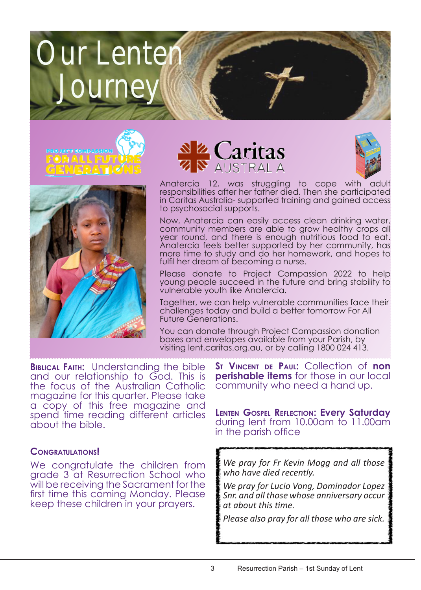# Our Lenten Journe









Anatercia 12, was struggling to cope with responsibilities after her father died. Then she participated in Caritas Australia- supported training and gained access to psychosocial supports.

Now, Anatercia can easily access clean drinking water, community members are able to grow healthy crops all year round, and there is enough nutritious food to eat. Anatercia feels better supported by her community, has more time to study and do her homework, and hopes to fulfil her dream of becoming a nurse.

Please donate to Project Compassion 2022 to help young people succeed in the future and bring stability to vulnerable youth like Anatercia.

Together, we can help vulnerable communities face their challenges today and build a better tomorrow For All Future Generations.

You can donate through Project Compassion donation boxes and envelopes available from your Parish, by visiting lent.caritas.org.au, or by calling 1800 024 413.

**Biblical Faith:** Understanding the bible and our relationship to God. This is the focus of the Australian Catholic magazine for this quarter. Please take a copy of this free magazine and spend time reading different articles about the bible.

### **Congratulations!**

We congratulate the children from grade 3 at Resurrection School who will be receiving the Sacrament for the first time this coming Monday. Please keep these children in your prayers.

**St Vincent de Paul:** Collection of **non perishable items** for those in our local community who need a hand up.

**Lenten Gospel Reflection: Every Saturday** during lent from 10.00am to 11.00am in the parish office

*We pray for Fr Kevin Mogg and all those who have died recently.* 

*We pray for Lucio Vong, Dominador Lopez Snr. and all those whose anniversary occur at about this time.*

*Please also pray for all those who are sick.*